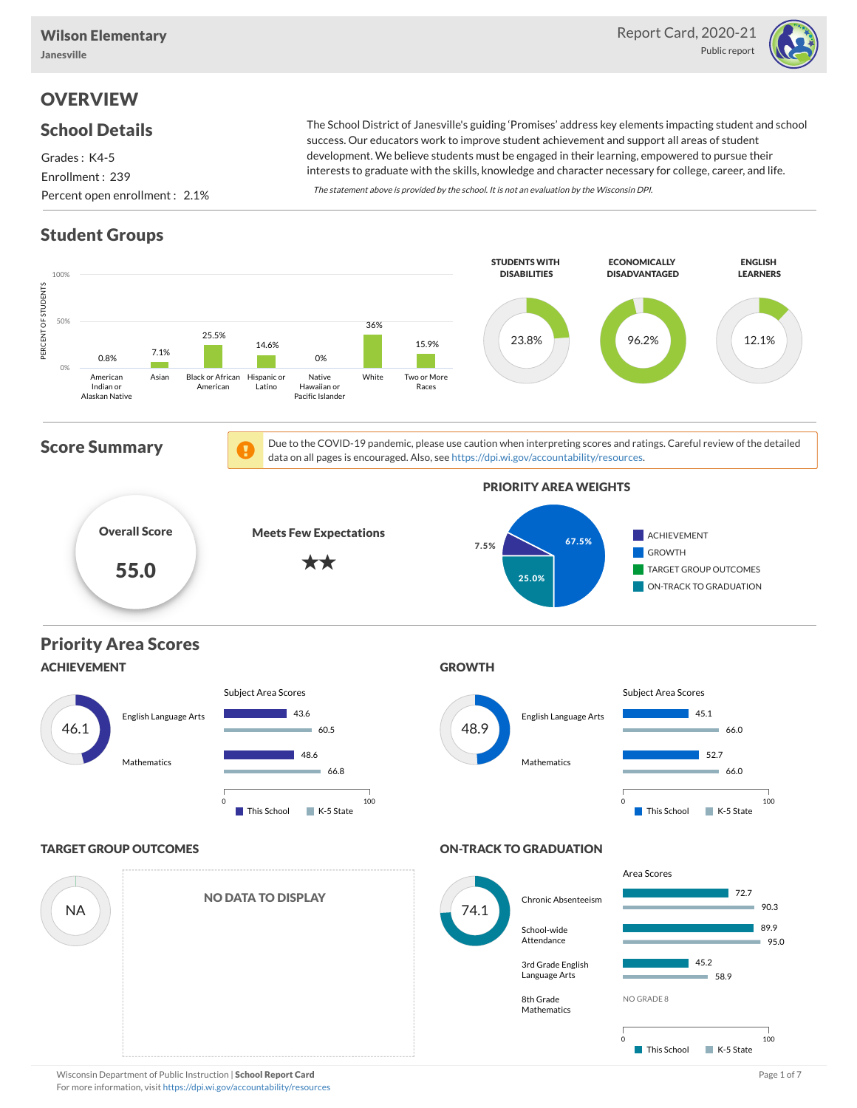

## **OVERVIEW**

### School Details

Grades : K4-5 Enrollment : 239 Percent open enrollment : 2.1%

The School District of Janesville's guiding 'Promises' address key elements impacting student and school success. Our educators work to improve student achievement and support all areas of student development. We believe students must be engaged in their learning, empowered to pursue their interests to graduate with the skills, knowledge and character necessary for college, career, and life.

The statement above is provided by the school. It is not an evaluation by the Wisconsin DPI.

## Student Groups



Wisconsin Department of Public Instruction | School Report Card Page 1 of 7 and 2008 and 2008 and Page 1 of 7 For more information, visit <https://dpi.wi.gov/accountability/resources>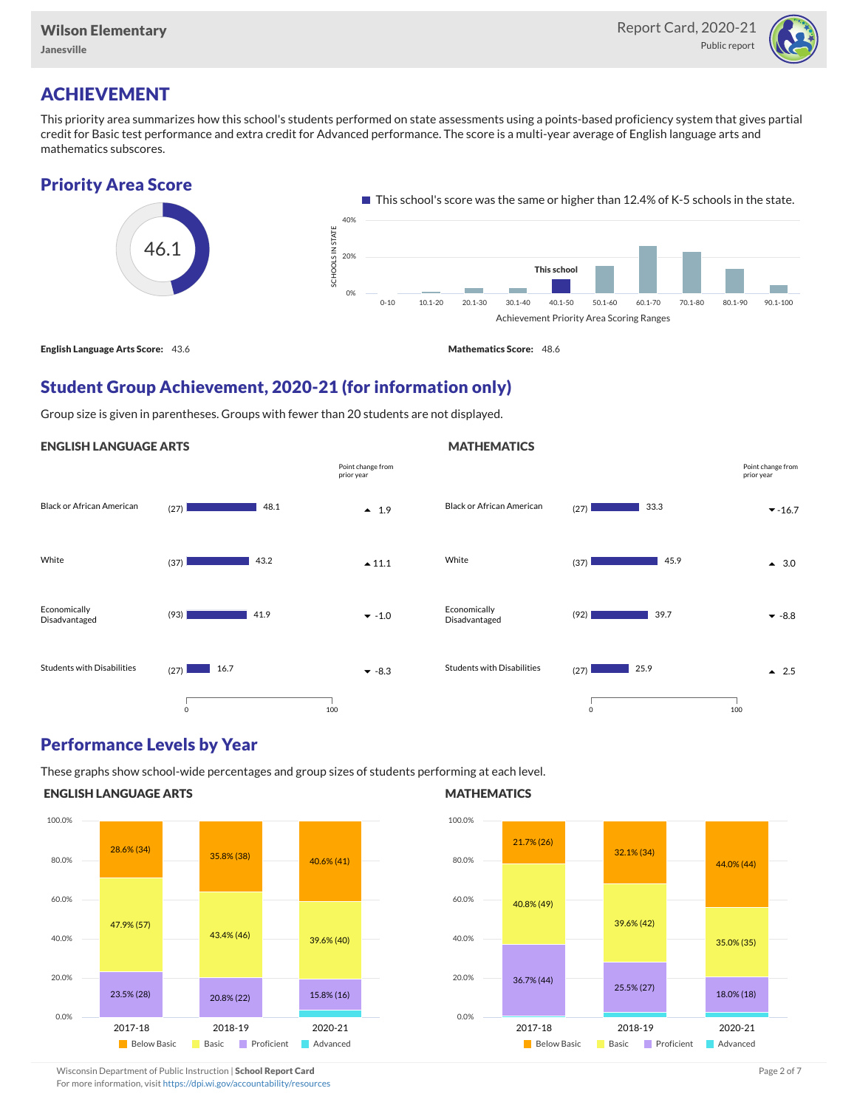

Point change from prior year

## ACHIEVEMENT

This priority area summarizes how this school's students performed on state assessments using a points-based proficiency system that gives partial credit for Basic test performance and extra credit for Advanced performance. The score is a multi-year average of English language arts and mathematics subscores.

### Priority Area Score



### Student Group Achievement, 2020-21 (for information only)

Group size is given in parentheses. Groups with fewer than 20 students are not displayed.

#### ENGLISH LANGUAGE ARTS



### Performance Levels by Year

These graphs show school-wide percentages and group sizes of students performing at each level.

#### ENGLISH LANGUAGE ARTS



#### **MATHEMATICS**

**MATHEMATICS** 



Wisconsin Department of Public Instruction | School Report Card Page 2 of 7 and 2008 and 2009 and 2 of 7 and 2 of 7

For more information, visit <https://dpi.wi.gov/accountability/resources>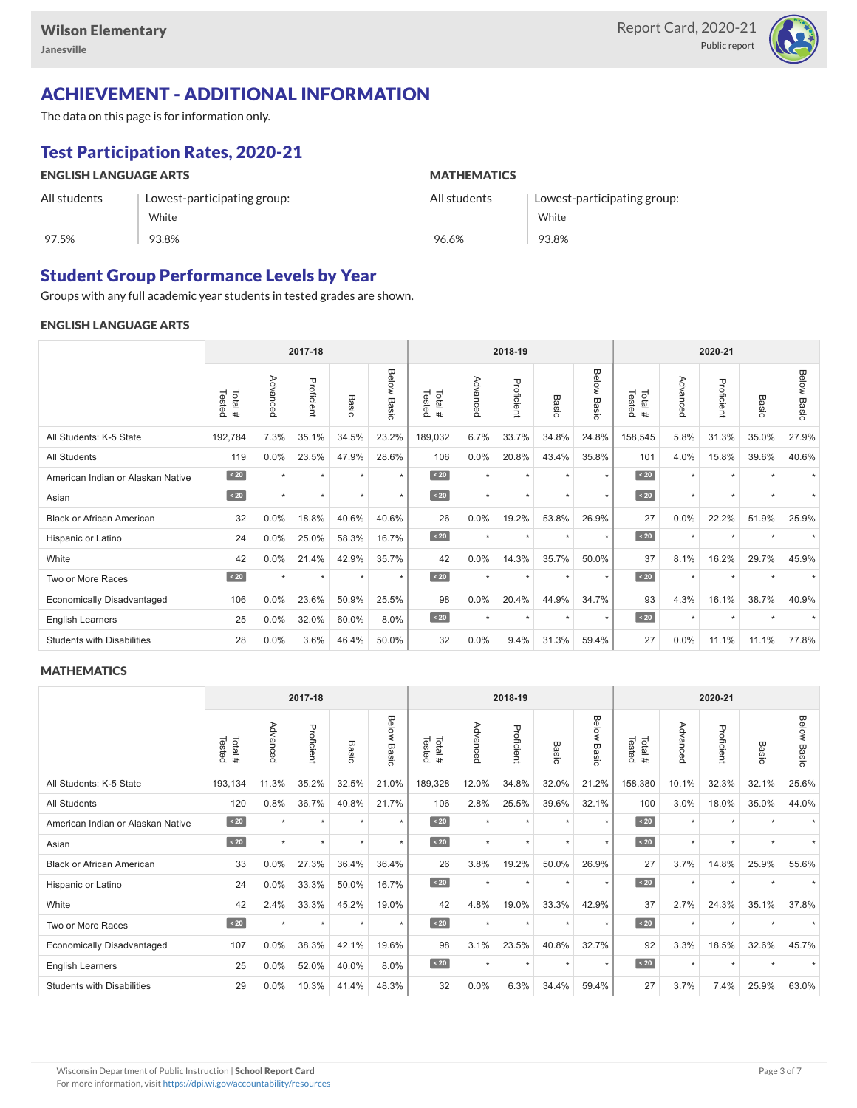

## ACHIEVEMENT - ADDITIONAL INFORMATION

The data on this page is for information only.

## Test Participation Rates, 2020-21

| <b>ENGLISH LANGUAGE ARTS</b> |                             | <b>MATHEMATICS</b> |                             |  |  |  |  |  |
|------------------------------|-----------------------------|--------------------|-----------------------------|--|--|--|--|--|
| All students                 | Lowest-participating group: | All students       | Lowest-participating group: |  |  |  |  |  |
|                              | White                       |                    | White                       |  |  |  |  |  |
| 97.5%                        | 93.8%                       | 96.6%              | 93.8%                       |  |  |  |  |  |

### Student Group Performance Levels by Year

Groups with any full academic year students in tested grades are shown.

#### ENGLISH LANGUAGE ARTS

|                                   |                  | 2017-18   |            |         |                | 2018-19<br>2020-21 |          |            |                      |                |                  |          |            |           |                    |
|-----------------------------------|------------------|-----------|------------|---------|----------------|--------------------|----------|------------|----------------------|----------------|------------------|----------|------------|-----------|--------------------|
|                                   | Tested<br>Total# | Advanced  | Proficient | Basic   | Below<br>Basic | Tested<br>Total#   | Advanced | Proficient | Basic                | Below<br>Basic | Tested<br>Total# | Advanced | Proficient | Basic     | <b>Below Basic</b> |
| All Students: K-5 State           | 192,784          | 7.3%      | 35.1%      | 34.5%   | 23.2%          | 189,032            | 6.7%     | 33.7%      | 34.8%                | 24.8%          | 158,545          | 5.8%     | 31.3%      | 35.0%     | 27.9%              |
| <b>All Students</b>               | 119              | 0.0%      | 23.5%      | 47.9%   | 28.6%          | 106                | 0.0%     | 20.8%      | 43.4%                | 35.8%          | 101              | 4.0%     | 15.8%      | 39.6%     | 40.6%              |
| American Indian or Alaskan Native | $\angle 20$      | $\ddot{}$ | $\star$    | ٠       | $\star$        | $\angle 20$        | $\star$  | $\star$    | $\ddot{\phantom{1}}$ | $\star$        | $\angle 20$      | $\star$  | $\star$    |           |                    |
| Asian                             | $\sim 20$        | $\ddot{}$ | $\star$    | ٠       | $\star$        | $\angle 20$        | $\star$  | $\star$    | $\ddot{}$            | $\star$        | $\angle 20$      | $\star$  | $\star$    | $\ddot{}$ |                    |
| <b>Black or African American</b>  | 32               | 0.0%      | 18.8%      | 40.6%   | 40.6%          | 26                 | 0.0%     | 19.2%      | 53.8%                | 26.9%          | 27               | 0.0%     | 22.2%      | 51.9%     | 25.9%              |
| Hispanic or Latino                | 24               | 0.0%      | 25.0%      | 58.3%   | 16.7%          | $\sim 20$          | $\star$  | $\star$    | $\star$              | $\star$        | $\angle 20$      | $\star$  | $\star$    |           |                    |
| White                             | 42               | 0.0%      | 21.4%      | 42.9%   | 35.7%          | 42                 | 0.0%     | 14.3%      | 35.7%                | 50.0%          | 37               | 8.1%     | 16.2%      | 29.7%     | 45.9%              |
| Two or More Races                 | $\angle 20$      | $\ddot{}$ | $\star$    | $\star$ | $\star$        | $\sim 20$          | $\star$  | $\star$    | $\ddot{}$            | ٠              | $\sim 20$        | $\star$  | $\star$    |           |                    |
| <b>Economically Disadvantaged</b> | 106              | 0.0%      | 23.6%      | 50.9%   | 25.5%          | 98                 | 0.0%     | 20.4%      | 44.9%                | 34.7%          | 93               | 4.3%     | 16.1%      | 38.7%     | 40.9%              |
| English Learners                  | 25               | 0.0%      | 32.0%      | 60.0%   | 8.0%           | $\sim 20$          | $\star$  | $\star$    | $\star$              | $\star$        | $\angle 20$      | $\star$  | $\star$    |           |                    |
| <b>Students with Disabilities</b> | 28               | 0.0%      | 3.6%       | 46.4%   | 50.0%          | 32                 | 0.0%     | 9.4%       | 31.3%                | 59.4%          | 27               | 0.0%     | 11.1%      | 11.1%     | 77.8%              |

#### **MATHEMATICS**

|                                   |                  |           | 2017-18    |         |                |                  |          | 2018-19    |                      |                |                  |          | 2020-21    |           |                    |  |  |  |
|-----------------------------------|------------------|-----------|------------|---------|----------------|------------------|----------|------------|----------------------|----------------|------------------|----------|------------|-----------|--------------------|--|--|--|
|                                   | Tested<br>Total# | Advanced  | Proficient | Basic   | Below<br>Basic | Tested<br>Total# | Advanced | Proficient | Basic                | Below<br>Basic | Tested<br>Total# | Advanced | Proficient | Basic     | <b>Below Basic</b> |  |  |  |
| All Students: K-5 State           | 193,134          | 11.3%     | 35.2%      | 32.5%   | 21.0%          | 189,328          | 12.0%    | 34.8%      | 32.0%                | 21.2%          | 158,380          | 10.1%    | 32.3%      | 32.1%     | 25.6%              |  |  |  |
| <b>All Students</b>               | 120              | 0.8%      | 36.7%      | 40.8%   | 21.7%          | 106              | 2.8%     | 25.5%      | 39.6%                | 32.1%          | 100              | 3.0%     | 18.0%      | 35.0%     | 44.0%              |  |  |  |
| American Indian or Alaskan Native | $\sim 20$        | $\ddot{}$ | $\star$    | ٠       | $\star$        | $\angle 20$      | $\star$  | $\star$    | $\ddot{\phantom{1}}$ | $\star$        | $\angle 20$      | $\star$  | $\star$    |           |                    |  |  |  |
| Asian                             | $\sim 20$        | $\ddot{}$ | $\star$    | ٠       | $\star$        | $\angle 20$      | $\star$  | $\star$    | $\star$              | $\star$        | $\angle 20$      | $\star$  | $\star$    | $\ddot{}$ |                    |  |  |  |
| <b>Black or African American</b>  | 33               | 0.0%      | 27.3%      | 36.4%   | 36.4%          | 26               | 3.8%     | 19.2%      | 50.0%                | 26.9%          | 27               | 3.7%     | 14.8%      | 25.9%     | 55.6%              |  |  |  |
| Hispanic or Latino                | 24               | 0.0%      | 33.3%      | 50.0%   | 16.7%          | $\sim 20$        | $\star$  | $\star$    | ٠                    | $\ddot{}$      | $\sim 20$        | $\star$  | $\star$    |           |                    |  |  |  |
| White                             | 42               | 2.4%      | 33.3%      | 45.2%   | 19.0%          | 42               | 4.8%     | 19.0%      | 33.3%                | 42.9%          | 37               | 2.7%     | 24.3%      | 35.1%     | 37.8%              |  |  |  |
| Two or More Races                 | $\sim 20$        | $\ddot{}$ | $\star$    | $\star$ | $\star$        | $\sim 20$        | $\star$  | $\star$    | $\ddot{}$            | $\star$        | $\sim 20$        | $\star$  | $\star$    |           |                    |  |  |  |
| <b>Economically Disadvantaged</b> | 107              | 0.0%      | 38.3%      | 42.1%   | 19.6%          | 98               | 3.1%     | 23.5%      | 40.8%                | 32.7%          | 92               | 3.3%     | 18.5%      | 32.6%     | 45.7%              |  |  |  |
| English Learners                  | 25               | 0.0%      | 52.0%      | 40.0%   | 8.0%           | $\sim 20$        | $\star$  | $\star$    | $\star$              | $\star$        | $\angle 20$      | $\star$  | $\star$    |           |                    |  |  |  |
| <b>Students with Disabilities</b> | 29               | 0.0%      | 10.3%      | 41.4%   | 48.3%          | 32               | 0.0%     | 6.3%       | 34.4%                | 59.4%          | 27               | 3.7%     | 7.4%       | 25.9%     | 63.0%              |  |  |  |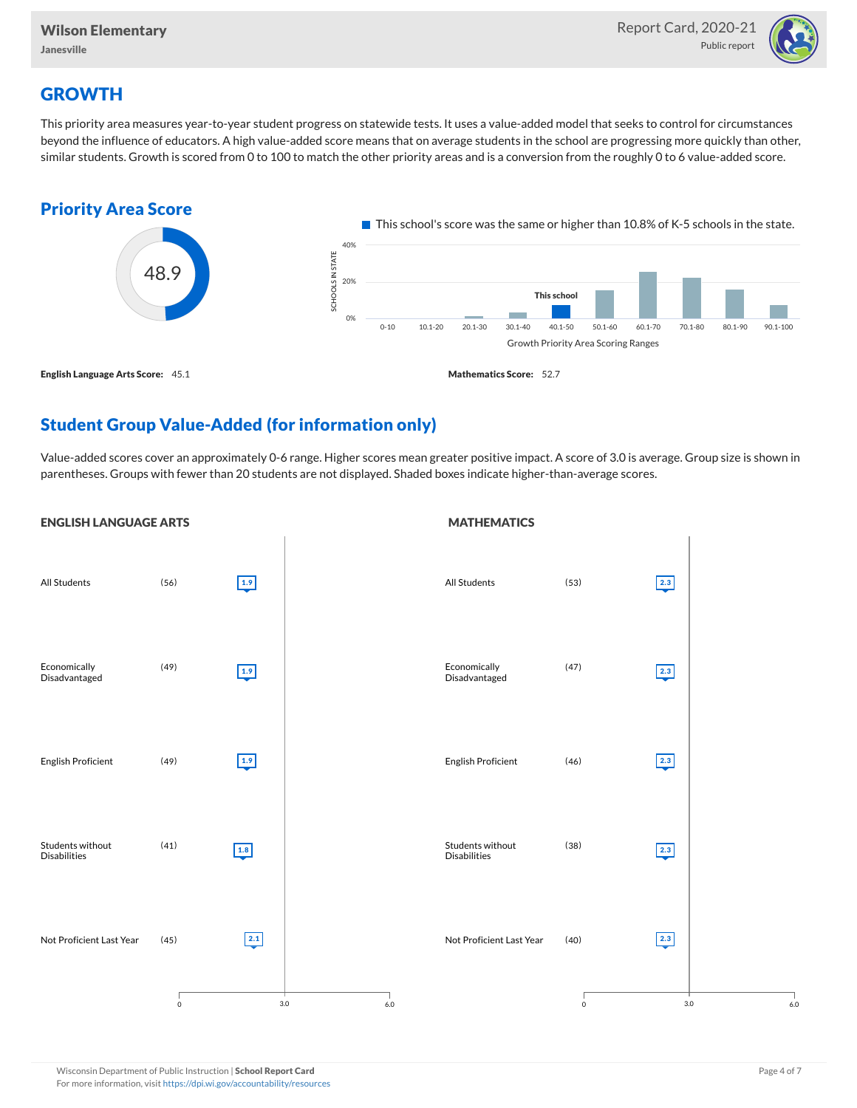

## **GROWTH**

This priority area measures year-to-year student progress on statewide tests. It uses a value-added model that seeks to control for circumstances beyond the influence of educators. A high value-added score means that on average students in the school are progressing more quickly than other, similar students. Growth is scored from 0 to 100 to match the other priority areas and is a conversion from the roughly 0 to 6 value-added score.



## Student Group Value-Added (for information only)

Value-added scores cover an approximately 0-6 range. Higher scores mean greater positive impact. A score of 3.0 is average. Group size is shown in parentheses. Groups with fewer than 20 students are not displayed. Shaded boxes indicate higher-than-average scores.

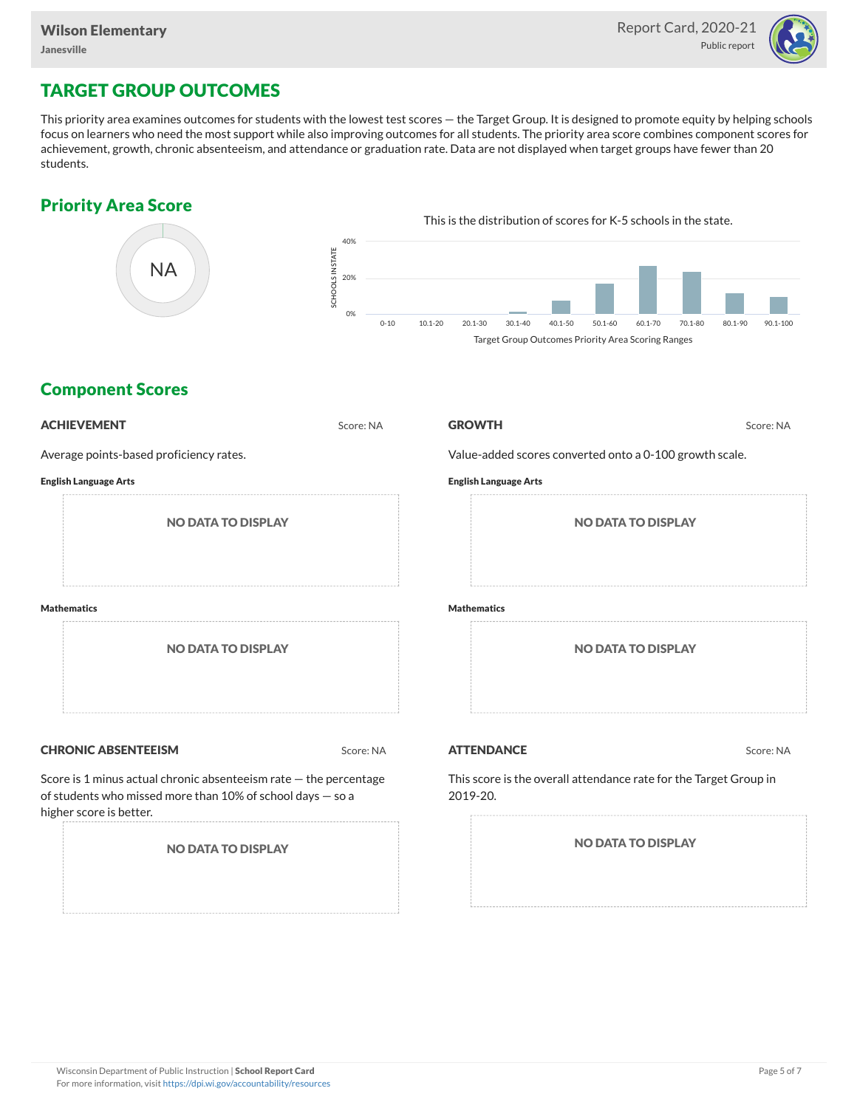

## TARGET GROUP OUTCOMES

This priority area examines outcomes for students with the lowest test scores — the Target Group. It is designed to promote equity by helping schools focus on learners who need the most support while also improving outcomes for all students. The priority area score combines component scores for achievement, growth, chronic absenteeism, and attendance or graduation rate. Data are not displayed when target groups have fewer than 20 students.

### Priority Area Score



### Component Scores

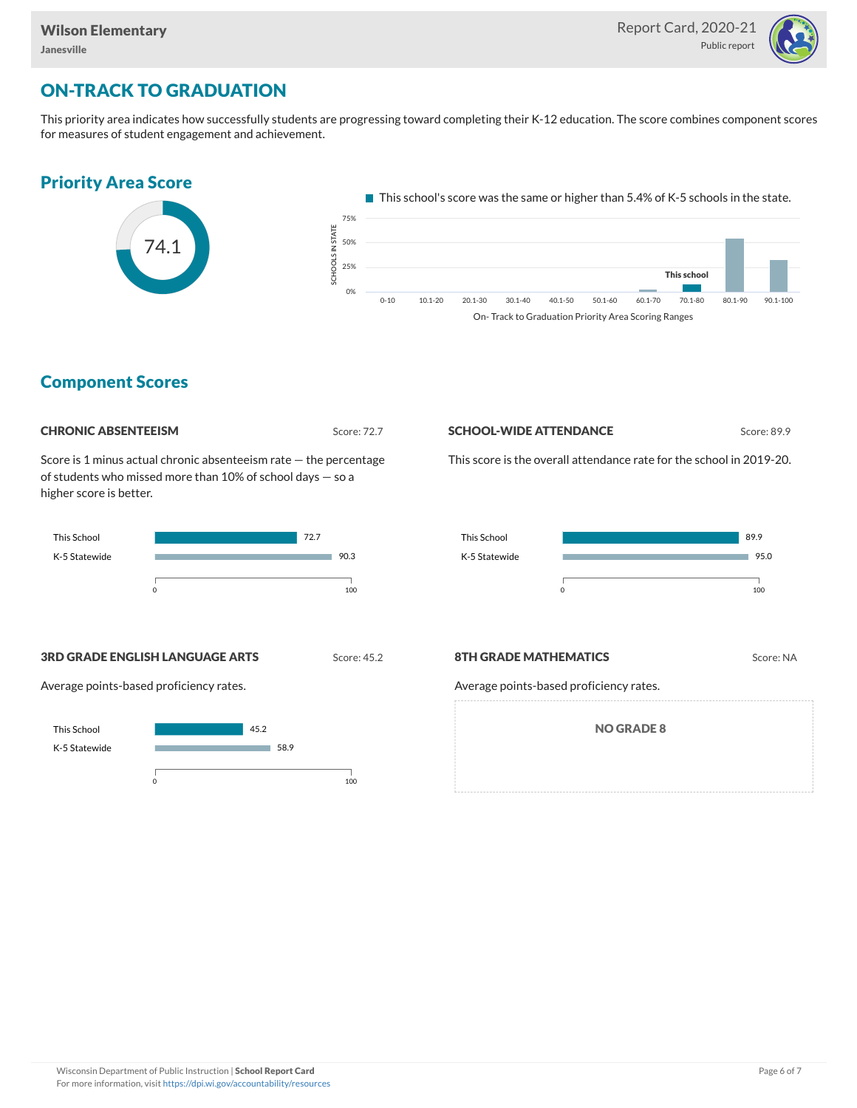

## ON-TRACK TO GRADUATION

This priority area indicates how successfully students are progressing toward completing their K-12 education. The score combines component scores for measures of student engagement and achievement.



### Component Scores



Score is 1 minus actual chronic absenteeism rate — the percentage of students who missed more than 10% of school days — so a higher score is better.



# **SCHOOL-WIDE ATTENDANCE** Score: 89.9

This score is the overall attendance rate for the school in 2019-20.



**3RD GRADE ENGLISH LANGUAGE ARTS** Score: 45.2

Average points-based proficiency rates.



#### **8TH GRADE MATHEMATICS** Score: NA

Average points-based proficiency rates.

NO GRADE 8